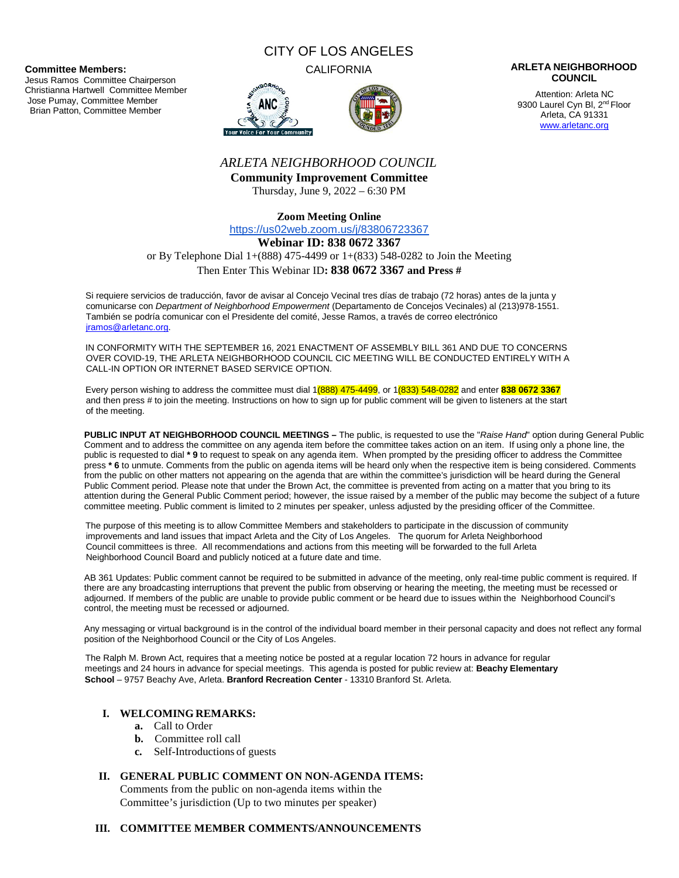**Committee Members:**

Jesus Ramos Committee Chairperson Christianna Hartwell Committee Member Jose Pumay, Committee Member Brian Patton, Committee Member

# CITY OF LOS ANGELES





#### CALIFORNIA **ARLETA NEIGHBORHOOD COUNCIL**

Attention: Arleta NC 9300 Laurel Cyn Bl, 2<sup>nd</sup> Floor Arleta, CA 91331 www.arletanc.org

# *ARLETA NEIGHBORHOOD COUNCIL*

**Community Improvement Committee** Thursday, June 9, 2022 – 6:30 PM

**Zoom Meeting Online**

https://us02web.zoom.us/j/83806723367

#### **Webinar ID: 838 0672 3367**

or By Telephone Dial 1+(888) 475-4499 or 1+(833) 548-0282 to Join the Meeting

## Then Enter This Webinar ID**: 838 0672 3367 and Press #**

Si requiere servicios de traducción, favor de avisar al Concejo Vecinal tres días de trabajo (72 horas) antes de la junta y comunicarse con *Department of Neighborhood Empowerment* (Departamento de Concejos Vecinales) al (213)978-1551. También se podría comunicar con el Presidente del comité, Jesse Ramos, a través de correo electrónico jramos@arletanc.org.

IN CONFORMITY WITH THE SEPTEMBER 16, 2021 ENACTMENT OF ASSEMBLY BILL 361 AND DUE TO CONCERNS OVER COVID-19, THE ARLETA NEIGHBORHOOD COUNCIL CIC MEETING WILL BE CONDUCTED ENTIRELY WITH A CALL-IN OPTION OR INTERNET BASED SERVICE OPTION.

Every person wishing to address the committee must dial 1(888) 475-4499, or 1(833) 548-0282 and enter **838 0672 3367** and then press # to join the meeting. Instructions on how to sign up for public comment will be given to listeners at the start of the meeting.

**PUBLIC INPUT AT NEIGHBORHOOD COUNCIL MEETINGS –** The public, is requested to use the "*Raise Hand*" option during General Public Comment and to address the committee on any agenda item before the committee takes action on an item. If using only a phone line, the public is requested to dial **\* 9** to request to speak on any agenda item. When prompted by the presiding officer to address the Committee press **\* 6** to unmute. Comments from the public on agenda items will be heard only when the respective item is being considered. Comments from the public on other matters not appearing on the agenda that are within the committee's jurisdiction will be heard during the General Public Comment period. Please note that under the Brown Act, the committee is prevented from acting on a matter that you bring to its attention during the General Public Comment period; however, the issue raised by a member of the public may become the subject of a future committee meeting. Public comment is limited to 2 minutes per speaker, unless adjusted by the presiding officer of the Committee.

The purpose of this meeting is to allow Committee Members and stakeholders to participate in the discussion of community improvements and land issues that impact Arleta and the City of Los Angeles. The quorum for Arleta Neighborhood Council committees is three. All recommendations and actions from this meeting will be forwarded to the full Arleta Neighborhood Council Board and publicly noticed at a future date and time.

AB 361 Updates: Public comment cannot be required to be submitted in advance of the meeting, only real-time public comment is required. If there are any broadcasting interruptions that prevent the public from observing or hearing the meeting, the meeting must be recessed or adjourned. If members of the public are unable to provide public comment or be heard due to issues within the Neighborhood Council's control, the meeting must be recessed or adjourned.

Any messaging or virtual background is in the control of the individual board member in their personal capacity and does not reflect any formal position of the Neighborhood Council or the City of Los Angeles.

The Ralph M. Brown Act, requires that a meeting notice be posted at a regular location 72 hours in advance for regular meetings and 24 hours in advance for special meetings. This agenda is posted for public review at: **Beachy Elementary School** – 9757 Beachy Ave, Arleta. **Branford Recreation Center** - 13310 Branford St. Arleta.

# **I. WELCOMING REMARKS:**

- **a.** Call to Order
- **b.** Committee roll call
- **c.** Self-Introductions of guests

## **II. GENERAL PUBLIC COMMENT ON NON-AGENDA ITEMS:**

Comments from the public on non-agenda items within the Committee's jurisdiction (Up to two minutes per speaker)

#### **III. COMMITTEE MEMBER COMMENTS/ANNOUNCEMENTS**